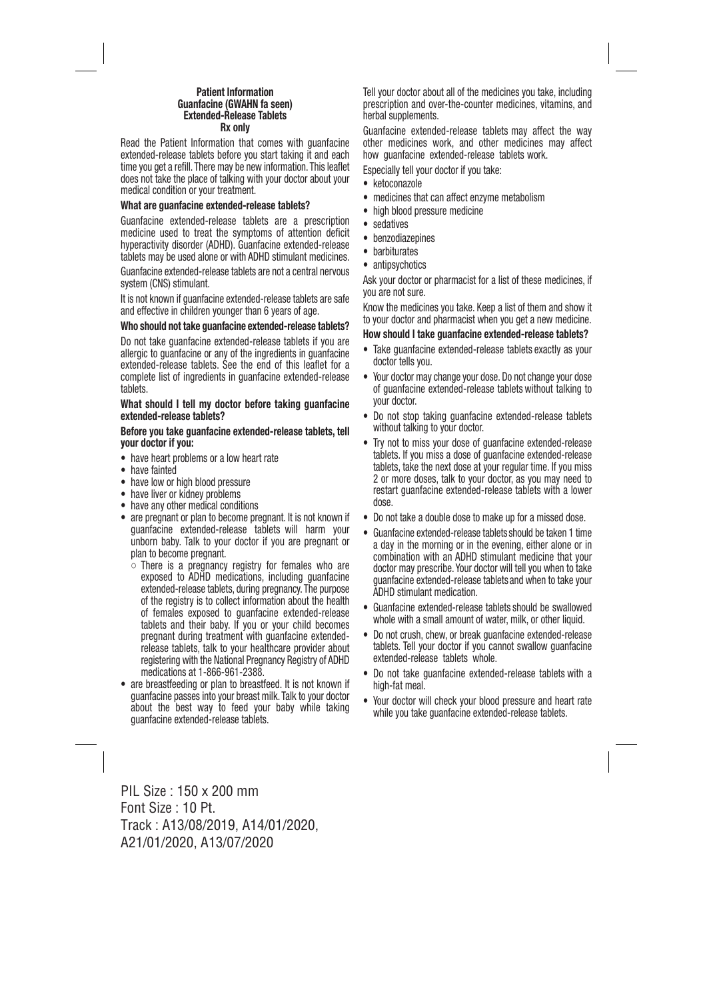# **Patient Information Guanfacine (GWAHN fa seen) Extended-Release Tablets Rx only**

Read the Patient Information that comes with guanfacine extended-release tablets before you start taking it and each time you get a refill. There may be new information. This leaflet does not take the place of talking with your doctor about your medical condition or your treatment.

#### **What are guanfacine extended-release tablets?**

Guanfacine extended-release tablets are a prescription medicine used to treat the symptoms of attention deficit hyperactivity disorder (ADHD). Guanfacine extended-release tablets may be used alone or with ADHD stimulant medicines.

Guanfacine extended-release tablets are not a central nervous system (CNS) stimulant.

It is not known if guanfacine extended-release tablets are safe and effective in children younger than 6 years of age.

#### **Who should not take guanfacine extended-release tablets?**

Do not take guanfacine extended-release tablets if you are allergic to guanfacine or any of the ingredients in guanfacine extended-release tablets. See the end of this leaflet for a complete list of ingredients in guanfacine extended-release tablets.

#### **What should I tell my doctor before taking guanfacine extended-release tablets?**

**Before you take guanfacine extended-release tablets, tell your doctor if you:**

- have heart problems or a low heart rate
- have fainted
- have low or high blood pressure
- have liver or kidney problems
- have any other medical conditions
- are pregnant or plan to become pregnant. It is not known if guanfacine extended-release tablets will harm your unborn baby. Talk to your doctor if you are pregnant or plan to become pregnant.
	- There is a pregnancy registry for females who are exposed to ADHD medications, including guanfacine extended-release tablets, during pregnancy. The purpose of the registry is to collect information about the health of females exposed to guanfacine extended-release tablets and their baby. If you or your child becomes pregnant during treatment with guanfacine extended release tablets, talk to your healthcare provider about registering with the National Pregnancy Registry of ADHD medications at 1-866-961-2388.
- are breastfeeding or plan to breastfeed. It is not known if guanfacine passes into your breast milk. Talk to your doctor about the best way to feed your baby while taking guanfacine extended-release tablets.

Tell your doctor about all of the medicines you take, including prescription and over-the-counter medicines, vitamins, and herbal supplements.

Guanfacine extended-release tablets may affect the way other medicines work, and other medicines may affect how guanfacine extended-release tablets work.

Especially tell your doctor if you take:

- ketoconazole
- medicines that can affect enzyme metabolism
- high blood pressure medicine
- sedatives
- benzodiazepines
- barbiturates
- antipsychotics

Ask your doctor or pharmacist for a list of these medicines, if you are not sure.

Know the medicines you take. Keep a list of them and show it to your doctor and pharmacist when you get a new medicine.

#### **How should I take guanfacine extended-release tablets?**

- Take guanfacine extended-release tablets exactly as your doctor tells you.
- Your doctor may change your dose. Do not change your dose of guanfacine extended-release tablets without talking to your doctor.
- Do not stop taking guanfacine extended-release tablets without talking to your doctor.
- Try not to miss your dose of guanfacine extended-release tablets. If you miss a dose of guanfacine extended-release tablets, take the next dose at your regular time. If you miss 2 or more doses, talk to your doctor, as you may need to restart guanfacine extended-release tablets with a lower dose.
- Do not take a double dose to make up for a missed dose.
- Guanfacine extended-release tablets should be taken 1 time a day in the morning or in the evening, either alone or in combination with an ADHD stimulant medicine that your doctor may prescribe. Your doctor will tell you when to take guanfacine extended-release tablets and when to take your ADHD stimulant medication.
- Guanfacine extended-release tablets should be swallowed whole with a small amount of water, milk, or other liquid.
- Do not crush, chew, or break guanfacine extended-release tablets. Tell your doctor if you cannot swallow guanfacine extended-release tablets whole.
- Do not take guanfacine extended-release tablets with a high-fat meal.
- Your doctor will check your blood pressure and heart rate while you take guanfacine extended-release tablets.

PIL Size : 150 x 200 mm Font Size : 10 Pt. Track : A13/08/2019, A14/01/2020, A21/01/2020, A13/07/2020